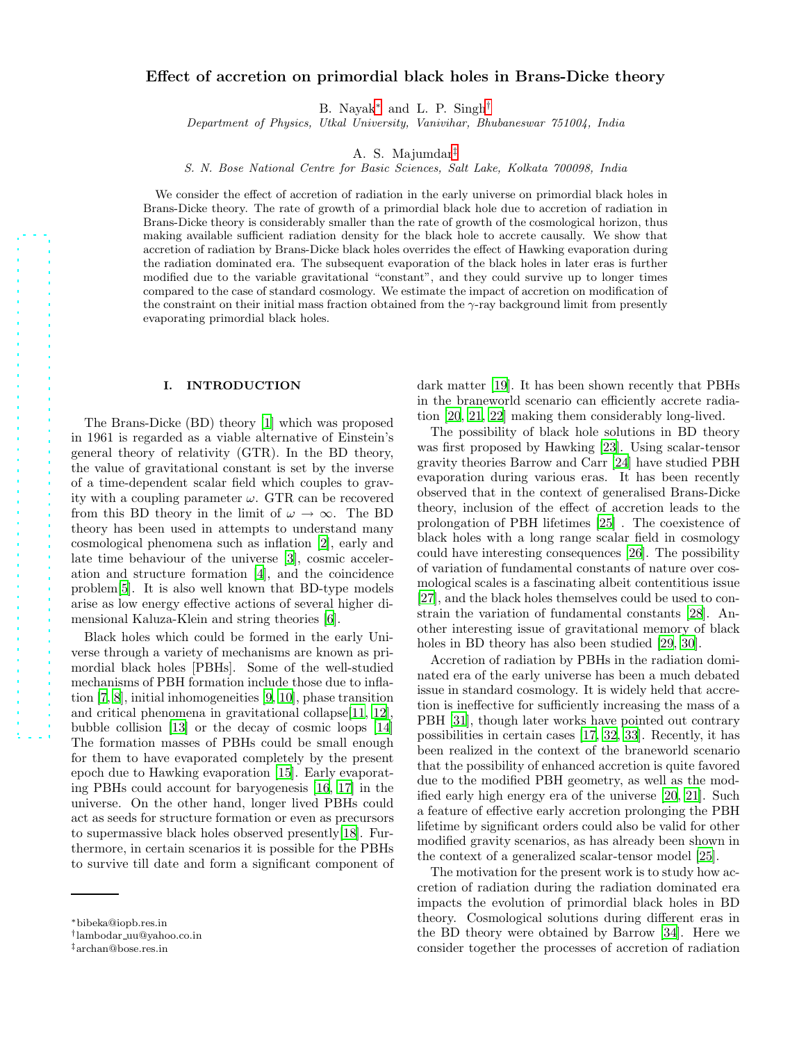# Effect of accretion on primordial black holes in Brans-Dicke theory

B. Nayak[∗](#page-0-0) and L. P. Singh[†](#page-0-1)

Department of Physics, Utkal University, Vanivihar, Bhubaneswar 751004, India

A. S. Majumdar[‡](#page-0-2)

S. N. Bose National Centre for Basic Sciences, Salt Lake, Kolkata 700098, India

We consider the effect of accretion of radiation in the early universe on primordial black holes in Brans-Dicke theory. The rate of growth of a primordial black hole due to accretion of radiation in Brans-Dicke theory is considerably smaller than the rate of growth of the cosmological horizon, thus making available sufficient radiation density for the black hole to accrete causally. We show that accretion of radiation by Brans-Dicke black holes overrides the effect of Hawking evaporation during the radiation dominated era. The subsequent evaporation of the black holes in later eras is further modified due to the variable gravitational "constant", and they could survive up to longer times compared to the case of standard cosmology. We estimate the impact of accretion on modification of the constraint on their initial mass fraction obtained from the  $\gamma$ -ray background limit from presently evaporating primordial black holes.

### I. INTRODUCTION

The Brans-Dicke (BD) theory [\[1\]](#page-6-0) which was proposed in 1961 is regarded as a viable alternative of Einstein's general theory of relativity (GTR). In the BD theory, the value of gravitational constant is set by the inverse of a time-dependent scalar field which couples to gravity with a coupling parameter  $\omega$ . GTR can be recovered from this BD theory in the limit of  $\omega \to \infty$ . The BD theory has been used in attempts to understand many cosmological phenomena such as inflation [\[2\]](#page-6-1), early and late time behaviour of the universe [\[3](#page-6-2)], cosmic acceleration and structure formation [\[4](#page-6-3)], and the coincidence problem[\[5](#page-6-4)]. It is also well known that BD-type models arise as low energy effective actions of several higher dimensional Kaluza-Klein and string theories [\[6\]](#page-6-5).

Black holes which could be formed in the early Universe through a variety of mechanisms are known as primordial black holes [PBHs]. Some of the well-studied mechanisms of PBH formation include those due to inflation [\[7](#page-6-6), [8\]](#page-6-7), initial inhomogeneities [\[9,](#page-6-8) [10](#page-6-9)], phase transition and critical phenomena in gravitational collapse[\[11](#page-6-10), [12\]](#page-6-11), bubble collision [\[13\]](#page-6-12) or the decay of cosmic loops [\[14](#page-6-13)] The formation masses of PBHs could be small enough for them to have evaporated completely by the present epoch due to Hawking evaporation [\[15](#page-6-14)]. Early evaporating PBHs could account for baryogenesis [\[16](#page-6-15), [17\]](#page-6-16) in the universe. On the other hand, longer lived PBHs could act as seeds for structure formation or even as precursors to supermassive black holes observed presently[\[18\]](#page-6-17). Furthermore, in certain scenarios it is possible for the PBHs to survive till date and form a significant component of dark matter [\[19\]](#page-6-18). It has been shown recently that PBHs in the braneworld scenario can efficiently accrete radiation [\[20](#page-6-19), [21](#page-6-20), [22](#page-6-21)] making them considerably long-lived.

The possibility of black hole solutions in BD theory was first proposed by Hawking [\[23](#page-6-22)]. Using scalar-tensor gravity theories Barrow and Carr [\[24](#page-6-23)] have studied PBH evaporation during various eras. It has been recently observed that in the context of generalised Brans-Dicke theory, inclusion of the effect of accretion leads to the prolongation of PBH lifetimes [\[25](#page-6-24)] . The coexistence of black holes with a long range scalar field in cosmology could have interesting consequences [\[26\]](#page-6-25). The possibility of variation of fundamental constants of nature over cosmological scales is a fascinating albeit contentitious issue [\[27\]](#page-6-26), and the black holes themselves could be used to constrain the variation of fundamental constants [\[28\]](#page-6-27). Another interesting issue of gravitational memory of black holes in BD theory has also been studied [\[29,](#page-6-28) [30\]](#page-6-29).

Accretion of radiation by PBHs in the radiation dominated era of the early universe has been a much debated issue in standard cosmology. It is widely held that accretion is ineffective for sufficiently increasing the mass of a PBH [\[31](#page-6-30)], though later works have pointed out contrary possibilities in certain cases [\[17,](#page-6-16) [32,](#page-6-31) [33\]](#page-6-32). Recently, it has been realized in the context of the braneworld scenario that the possibility of enhanced accretion is quite favored due to the modified PBH geometry, as well as the modified early high energy era of the universe [\[20,](#page-6-19) [21](#page-6-20)]. Such a feature of effective early accretion prolonging the PBH lifetime by significant orders could also be valid for other modified gravity scenarios, as has already been shown in the context of a generalized scalar-tensor model [\[25](#page-6-24)].

The motivation for the present work is to study how accretion of radiation during the radiation dominated era impacts the evolution of primordial black holes in BD theory. Cosmological solutions during different eras in the BD theory were obtained by Barrow [\[34](#page-6-33)]. Here we consider together the processes of accretion of radiation

<span id="page-0-0"></span><sup>∗</sup>bibeka@iopb.res.in

<span id="page-0-1"></span><sup>†</sup> lambodar uu@yahoo.co.in

<span id="page-0-2"></span><sup>‡</sup>archan@bose.res.in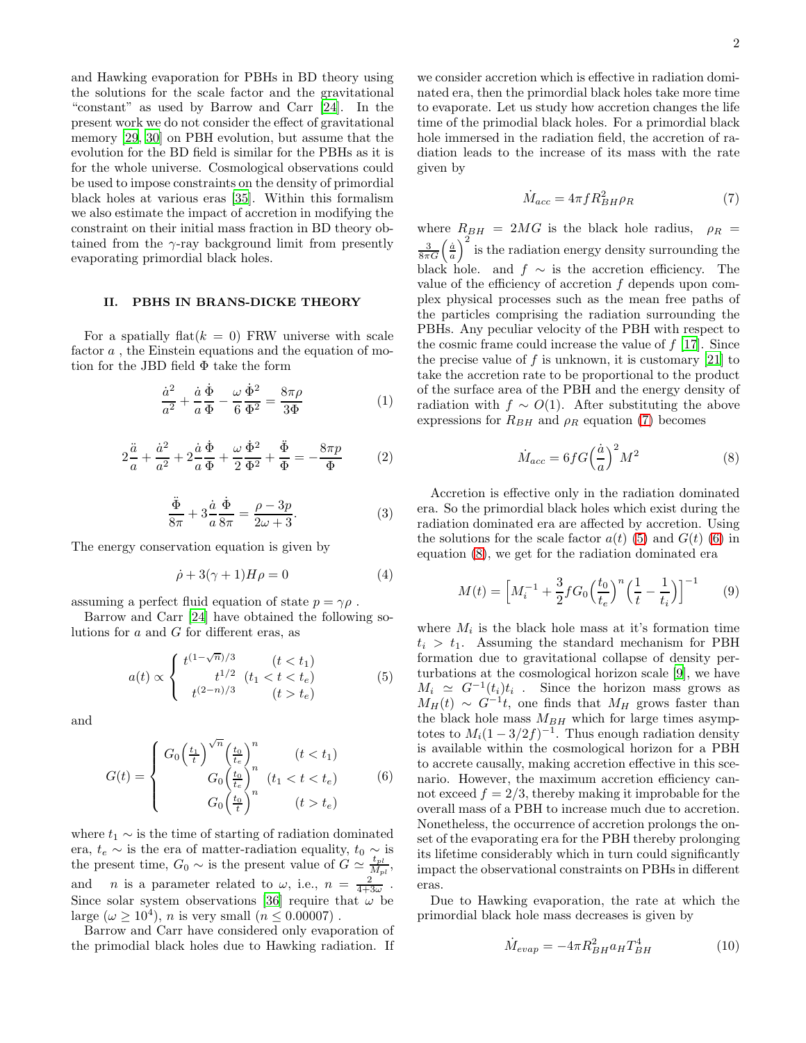and Hawking evaporation for PBHs in BD theory using the solutions for the scale factor and the gravitational "constant" as used by Barrow and Carr [\[24\]](#page-6-23). In the present work we do not consider the effect of gravitational memory [\[29](#page-6-28), [30](#page-6-29)] on PBH evolution, but assume that the evolution for the BD field is similar for the PBHs as it is for the whole universe. Cosmological observations could be used to impose constraints on the density of primordial black holes at various eras [\[35\]](#page-6-34). Within this formalism we also estimate the impact of accretion in modifying the constraint on their initial mass fraction in BD theory obtained from the  $\gamma$ -ray background limit from presently evaporating primordial black holes.

### II. PBHS IN BRANS-DICKE THEORY

For a spatially flat  $(k = 0)$  FRW universe with scale factor a , the Einstein equations and the equation of motion for the JBD field Φ take the form

$$
\frac{\dot{a}^2}{a^2} + \frac{\dot{a}}{a} \frac{\dot{\Phi}}{\Phi} - \frac{\omega}{6} \frac{\dot{\Phi}^2}{\Phi^2} = \frac{8\pi\rho}{3\Phi} \tag{1}
$$

$$
2\frac{\ddot{a}}{a} + \frac{\dot{a}^2}{a^2} + 2\frac{\dot{a}}{a}\frac{\dot{\Phi}}{\Phi} + \frac{\omega}{2}\frac{\dot{\Phi}^2}{\Phi^2} + \frac{\ddot{\Phi}}{\Phi} = -\frac{8\pi p}{\Phi} \tag{2}
$$

$$
\frac{\ddot{\Phi}}{8\pi} + 3\frac{\dot{a}}{a}\frac{\dot{\Phi}}{8\pi} = \frac{\rho - 3p}{2\omega + 3}.
$$
 (3)

The energy conservation equation is given by

$$
\dot{\rho} + 3(\gamma + 1)H\rho = 0\tag{4}
$$

assuming a perfect fluid equation of state  $p = \gamma \rho$ .

Barrow and Carr [\[24\]](#page-6-23) have obtained the following solutions for a and G for different eras, as

<span id="page-1-1"></span>
$$
a(t) \propto \begin{cases} t^{(1-\sqrt{n})/3} & (t < t_1) \\ t^{1/2} & (t_1 < t < t_e) \\ t^{(2-n)/3} & (t > t_e) \end{cases} \tag{5}
$$

and

<span id="page-1-2"></span>
$$
G(t) = \begin{cases} G_0 \left(\frac{t_1}{t}\right)^{\sqrt{n}} \left(\frac{t_0}{t_e}\right)^n & (t < t_1) \\ G_0 \left(\frac{t_0}{t_e}\right)^n & (t_1 < t < t_e) \\ G_0 \left(\frac{t_0}{t}\right)^n & (t > t_e) \end{cases} \tag{6}
$$

where  $t_1 \sim$  is the time of starting of radiation dominated era,  $t_e \sim$  is the era of matter-radiation equality,  $t_0 \sim$  is the present time,  $G_0 \sim$  is the present value of  $G \simeq \frac{t_{pl}}{M_p}$  $\frac{\iota_{pl}}{M_{pl}},$ and *n* is a parameter related to  $\omega$ , i.e.,  $n = \frac{2}{4+3\omega}$ . Since solar system observations [\[36](#page-6-35)] require that  $\omega$  be large  $(\omega \ge 10^4)$ , *n* is very small  $(n \le 0.00007)$ .

Barrow and Carr have considered only evaporation of the primodial black holes due to Hawking radiation. If

we consider accretion which is effective in radiation dominated era, then the primordial black holes take more time to evaporate. Let us study how accretion changes the life time of the primodial black holes. For a primordial black hole immersed in the radiation field, the accretion of radiation leads to the increase of its mass with the rate given by

<span id="page-1-0"></span>
$$
\dot{M}_{acc} = 4\pi f R_{BH}^2 \rho_R \tag{7}
$$

where  $R_{BH} = 2MG$  is the black hole radius,  $\rho_R =$  $\frac{3}{8\pi G} \left(\frac{\dot{a}}{a}\right)^2$  is the radiation energy density surrounding the black hole. and  $f \sim$  is the accretion efficiency. The value of the efficiency of accretion f depends upon complex physical processes such as the mean free paths of the particles comprising the radiation surrounding the PBHs. Any peculiar velocity of the PBH with respect to the cosmic frame could increase the value of f [\[17\]](#page-6-16). Since the precise value of  $f$  is unknown, it is customary [\[21\]](#page-6-20) to take the accretion rate to be proportional to the product of the surface area of the PBH and the energy density of radiation with  $f \sim O(1)$ . After substituting the above expressions for  $R_{BH}$  and  $\rho_R$  equation [\(7\)](#page-1-0) becomes

<span id="page-1-3"></span>
$$
\dot{M}_{acc} = 6fG\left(\frac{\dot{a}}{a}\right)^2 M^2 \tag{8}
$$

Accretion is effective only in the radiation dominated era. So the primordial black holes which exist during the radiation dominated era are affected by accretion. Using the solutions for the scale factor  $a(t)$  [\(5\)](#page-1-1) and  $G(t)$  [\(6\)](#page-1-2) in equation [\(8\)](#page-1-3), we get for the radiation dominated era

<span id="page-1-4"></span>
$$
M(t) = \left[ M_i^{-1} + \frac{3}{2} f G_0 \left( \frac{t_0}{t_e} \right)^n \left( \frac{1}{t} - \frac{1}{t_i} \right) \right]^{-1} \tag{9}
$$

where  $M_i$  is the black hole mass at it's formation time  $t_i > t_1$ . Assuming the standard mechanism for PBH formation due to gravitational collapse of density perturbations at the cosmological horizon scale [\[9](#page-6-8)], we have  $M_i \simeq G^{-1}(t_i)t_i$ . Since the horizon mass grows as  $M_H(t) \sim G^{-1}t$ , one finds that  $M_H$  grows faster than the black hole mass  $M_{BH}$  which for large times asymptotes to  $M_i(1-3/2f)^{-1}$ . Thus enough radiation density is available within the cosmological horizon for a PBH to accrete causally, making accretion effective in this scenario. However, the maximum accretion efficiency cannot exceed  $f = 2/3$ , thereby making it improbable for the overall mass of a PBH to increase much due to accretion. Nonetheless, the occurrence of accretion prolongs the onset of the evaporating era for the PBH thereby prolonging its lifetime considerably which in turn could significantly impact the observational constraints on PBHs in different eras.

Due to Hawking evaporation, the rate at which the primordial black hole mass decreases is given by

$$
\dot{M}_{evap} = -4\pi R_{BH}^2 a_H T_{BH}^4 \tag{10}
$$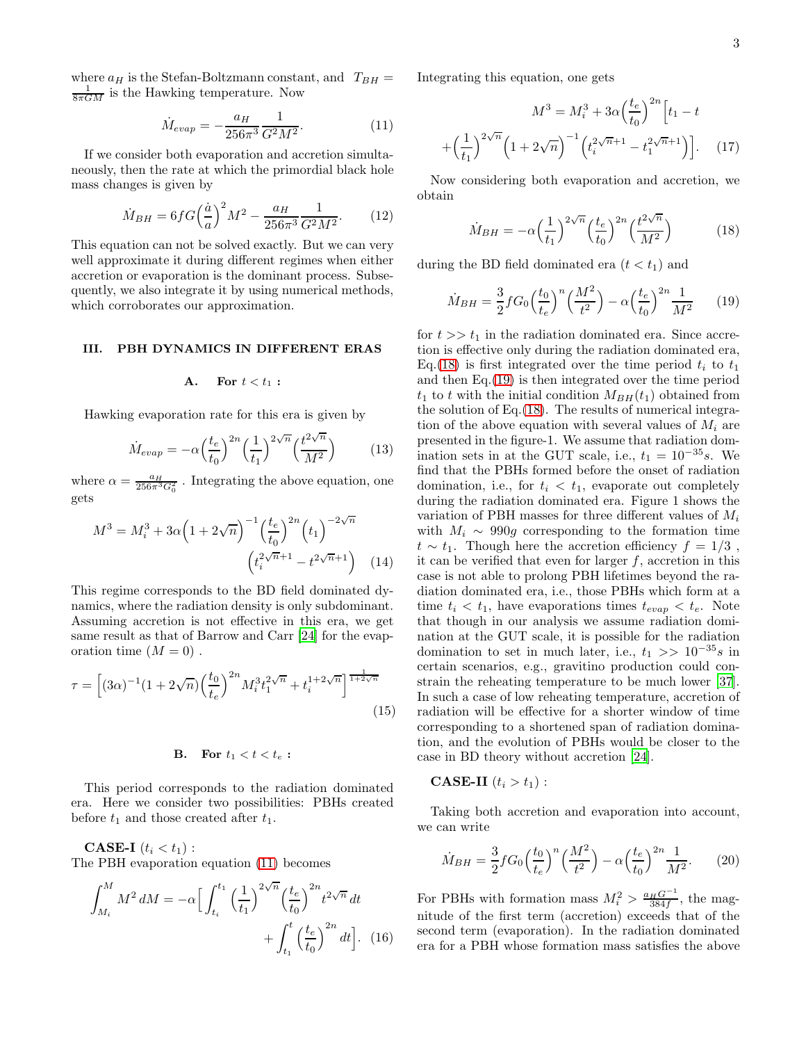where  $a_H$  is the Stefan-Boltzmann constant, and  $T_{BH} =$  $\frac{1}{8\pi GM}$  is the Hawking temperature. Now

<span id="page-2-0"></span>
$$
\dot{M}_{evap} = -\frac{a_H}{256\pi^3} \frac{1}{G^2 M^2}.
$$
\n(11)

If we consider both evaporation and accretion simultaneously, then the rate at which the primordial black hole mass changes is given by

$$
\dot{M}_{BH} = 6fG\left(\frac{\dot{a}}{a}\right)^2 M^2 - \frac{a_H}{256\pi^3} \frac{1}{G^2 M^2}.
$$
 (12)

This equation can not be solved exactly. But we can very well approximate it during different regimes when either accretion or evaporation is the dominant process. Subsequently, we also integrate it by using numerical methods, which corroborates our approximation.

### III. PBH DYNAMICS IN DIFFERENT ERAS

#### A. For  $t < t_1$ :

Hawking evaporation rate for this era is given by

$$
\dot{M}_{evap} = -\alpha \left(\frac{t_e}{t_0}\right)^{2n} \left(\frac{1}{t_1}\right)^{2\sqrt{n}} \left(\frac{t^{2\sqrt{n}}}{M^2}\right) \tag{13}
$$

where  $\alpha = \frac{a_H}{256\pi^3 G_0^2}$ . Integrating the above equation, one gets

$$
M^{3} = M_{i}^{3} + 3\alpha \left(1 + 2\sqrt{n}\right)^{-1} \left(\frac{t_{e}}{t_{0}}\right)^{2n} \left(t_{1}\right)^{-2\sqrt{n}}
$$

$$
\left(t_{i}^{2\sqrt{n}+1} - t^{2\sqrt{n}+1}\right) \quad (14)
$$

This regime corresponds to the BD field dominated dynamics, where the radiation density is only subdominant. Assuming accretion is not effective in this era, we get same result as that of Barrow and Carr [\[24\]](#page-6-23) for the evaporation time  $(M = 0)$ .

$$
\tau = \left[ (3\alpha)^{-1} (1 + 2\sqrt{n}) \left( \frac{t_0}{t_e} \right)^{2n} M_i^3 t_1^{2\sqrt{n}} + t_i^{1+2\sqrt{n}} \right]^{\frac{1}{1+2\sqrt{n}}} \tag{15}
$$

## **B.** For  $t_1 < t < t_e$ :

This period corresponds to the radiation dominated era. Here we consider two possibilities: PBHs created before  $t_1$  and those created after  $t_1$ .

CASE-I  $(t_i < t_1)$ : The PBH evaporation equation [\(11\)](#page-2-0) becomes

$$
\int_{M_i}^{M} M^2 dM = -\alpha \Big[ \int_{t_i}^{t_1} \left(\frac{1}{t_1}\right)^{2\sqrt{n}} \left(\frac{t_e}{t_0}\right)^{2n} t^{2\sqrt{n}} dt + \int_{t_1}^{t} \left(\frac{t_e}{t_0}\right)^{2n} dt \Big].
$$
 (16)

Integrating this equation, one gets

$$
M^{3} = M_{i}^{3} + 3\alpha \left(\frac{t_{e}}{t_{0}}\right)^{2n} \left[t_{1} - t\right]
$$

$$
+ \left(\frac{1}{t_{1}}\right)^{2\sqrt{n}} \left(1 + 2\sqrt{n}\right)^{-1} \left(t_{i}^{2\sqrt{n}+1} - t_{1}^{2\sqrt{n}+1}\right) \left.\right]. \tag{17}
$$

Now considering both evaporation and accretion, we obtain

<span id="page-2-1"></span>
$$
\dot{M}_{BH} = -\alpha \left(\frac{1}{t_1}\right)^{2\sqrt{n}} \left(\frac{t_e}{t_0}\right)^{2n} \left(\frac{t^{2\sqrt{n}}}{M^2}\right) \tag{18}
$$

during the BD field dominated era  $(t < t_1)$  and

<span id="page-2-2"></span>
$$
\dot{M}_{BH} = \frac{3}{2} f G_0 \left(\frac{t_0}{t_e}\right)^n \left(\frac{M^2}{t^2}\right) - \alpha \left(\frac{t_e}{t_0}\right)^{2n} \frac{1}{M^2} \tag{19}
$$

for  $t \gg t_1$  in the radiation dominated era. Since accretion is effective only during the radiation dominated era, Eq.[\(18\)](#page-2-1) is first integrated over the time period  $t_i$  to  $t_1$ and then Eq.[\(19\)](#page-2-2) is then integrated over the time period  $t_1$  to t with the initial condition  $M_{BH}(t_1)$  obtained from the solution of Eq.[\(18\)](#page-2-1). The results of numerical integration of the above equation with several values of  $M_i$  are presented in the figure-1. We assume that radiation domination sets in at the GUT scale, i.e.,  $t_1 = 10^{-35} s$ . We find that the PBHs formed before the onset of radiation domination, i.e., for  $t_i < t_1$ , evaporate out completely during the radiation dominated era. Figure 1 shows the variation of PBH masses for three different values of  $M_i$ with  $M_i \sim 990q$  corresponding to the formation time  $t \sim t_1$ . Though here the accretion efficiency  $f = 1/3$ , it can be verified that even for larger  $f$ , accretion in this case is not able to prolong PBH lifetimes beyond the radiation dominated era, i.e., those PBHs which form at a time  $t_i < t_1$ , have evaporations times  $t_{evap} < t_e$ . Note that though in our analysis we assume radiation domination at the GUT scale, it is possible for the radiation domination to set in much later, i.e.,  $t_1$  >>  $10^{-35}s$  in certain scenarios, e.g., gravitino production could constrain the reheating temperature to be much lower [\[37\]](#page-6-36). In such a case of low reheating temperature, accretion of radiation will be effective for a shorter window of time corresponding to a shortened span of radiation domination, and the evolution of PBHs would be closer to the case in BD theory without accretion [\[24\]](#page-6-23).

# CASE-II  $(t_i > t_1)$ :

Taking both accretion and evaporation into account, we can write

<span id="page-2-3"></span>
$$
\dot{M}_{BH} = \frac{3}{2} f G_0 \left(\frac{t_0}{t_e}\right)^n \left(\frac{M^2}{t^2}\right) - \alpha \left(\frac{t_e}{t_0}\right)^{2n} \frac{1}{M^2}.\tag{20}
$$

For PBHs with formation mass  $M_i^2 > \frac{a_H G^{-1}}{384f}$  $\frac{HG^{-1}}{384f}$ , the magnitude of the first term (accretion) exceeds that of the second term (evaporation). In the radiation dominated era for a PBH whose formation mass satisfies the above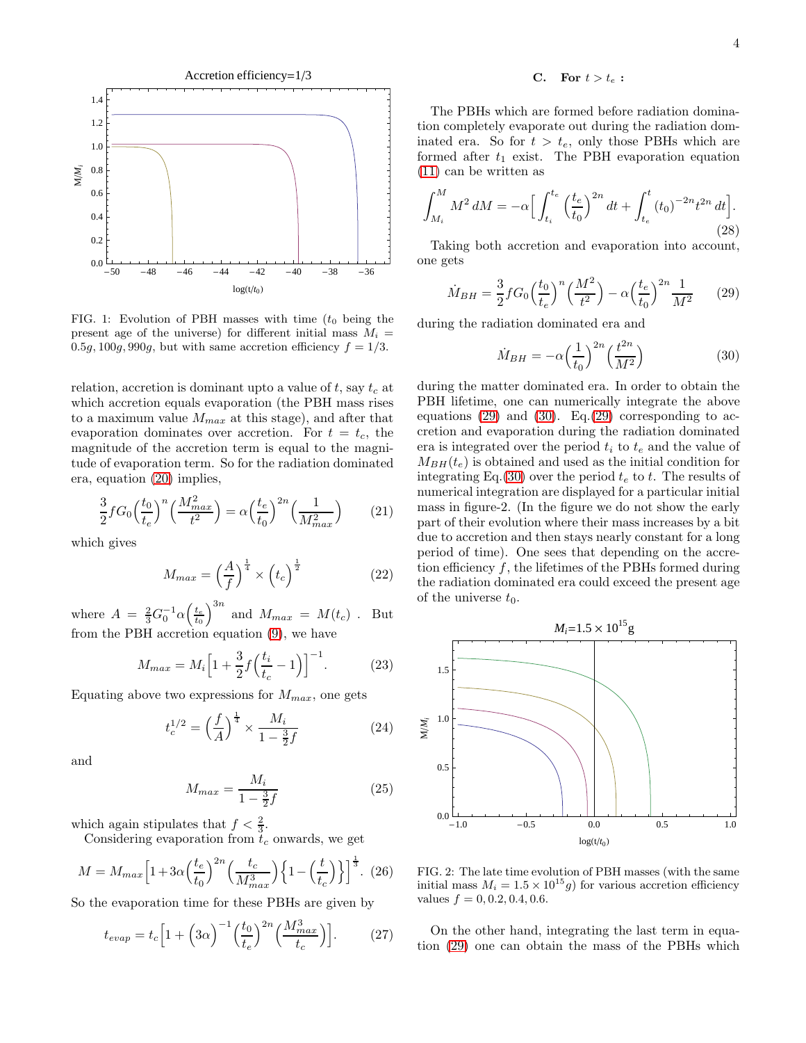

FIG. 1: Evolution of PBH masses with time  $(t_0$  being the present age of the universe) for different initial mass  $M_i =$ 0.5g, 100g, 990g, but with same accretion efficiency  $f = 1/3$ .

relation, accretion is dominant upto a value of  $t$ , say  $t_c$  at which accretion equals evaporation (the PBH mass rises to a maximum value  $M_{max}$  at this stage), and after that evaporation dominates over accretion. For  $t = t_c$ , the magnitude of the accretion term is equal to the magnitude of evaporation term. So for the radiation dominated era, equation [\(20\)](#page-2-3) implies,

$$
\frac{3}{2} f G_0 \left(\frac{t_0}{t_e}\right)^n \left(\frac{M_{max}^2}{t^2}\right) = \alpha \left(\frac{t_e}{t_0}\right)^{2n} \left(\frac{1}{M_{max}^2}\right) \tag{21}
$$

which gives

$$
M_{max} = \left(\frac{A}{f}\right)^{\frac{1}{4}} \times \left(t_c\right)^{\frac{1}{2}} \tag{22}
$$

where  $A = \frac{2}{3} G_0^{-1} \alpha \left(\frac{t_e}{t_0}\right)^{3n}$  and  $M_{max} = M(t_c)$ . But from the PBH accretion equation [\(9\)](#page-1-4), we have

$$
M_{max} = M_i \left[ 1 + \frac{3}{2} f \left( \frac{t_i}{t_c} - 1 \right) \right]^{-1}.
$$
 (23)

Equating above two expressions for  $M_{max}$ , one gets

$$
t_c^{1/2} = \left(\frac{f}{A}\right)^{\frac{1}{4}} \times \frac{M_i}{1 - \frac{3}{2}f} \tag{24}
$$

and

<span id="page-3-3"></span>
$$
M_{max} = \frac{M_i}{1 - \frac{3}{2}f} \tag{25}
$$

which again stipulates that  $f < \frac{2}{3}$ .

Considering evaporation from  $t_c$  onwards, we get

<span id="page-3-2"></span>
$$
M = M_{max} \left[ 1 + 3\alpha \left( \frac{t_e}{t_0} \right)^{2n} \left( \frac{t_c}{M_{max}^3} \right) \left\{ 1 - \left( \frac{t}{t_c} \right) \right\} \right]^{\frac{1}{3}}.
$$
 (26)

So the evaporation time for these PBHs are given by

$$
t_{evap} = t_c \Big[ 1 + \Big( 3\alpha \Big)^{-1} \Big( \frac{t_0}{t_e} \Big)^{2n} \Big( \frac{M_{max}^3}{t_c} \Big) \Big]. \tag{27}
$$

### C. For  $t > t_e$ :

The PBHs which are formed before radiation domination completely evaporate out during the radiation dominated era. So for  $t > t_e$ , only those PBHs which are formed after  $t_1$  exist. The PBH evaporation equation [\(11\)](#page-2-0) can be written as

$$
\int_{M_i}^{M} M^2 \, dM = -\alpha \Big[ \int_{t_i}^{t_e} \left( \frac{t_e}{t_0} \right)^{2n} dt + \int_{t_e}^{t} (t_0)^{-2n} t^{2n} \, dt \Big]. \tag{28}
$$

Taking both accretion and evaporation into account, one gets

<span id="page-3-0"></span>
$$
\dot{M}_{BH} = \frac{3}{2} f G_0 \left(\frac{t_0}{t_e}\right)^n \left(\frac{M^2}{t^2}\right) - \alpha \left(\frac{t_e}{t_0}\right)^{2n} \frac{1}{M^2} \tag{29}
$$

during the radiation dominated era and

<span id="page-3-1"></span>
$$
\dot{M}_{BH} = -\alpha \left(\frac{1}{t_0}\right)^{2n} \left(\frac{t^{2n}}{M^2}\right) \tag{30}
$$

during the matter dominated era. In order to obtain the PBH lifetime, one can numerically integrate the above equations [\(29\)](#page-3-0) and [\(30\)](#page-3-1). Eq.[\(29\)](#page-3-0) corresponding to accretion and evaporation during the radiation dominated era is integrated over the period  $t_i$  to  $t_e$  and the value of  $M_{BH}(t_e)$  is obtained and used as the initial condition for integrating Eq.[\(30\)](#page-3-1) over the period  $t_e$  to t. The results of numerical integration are displayed for a particular initial mass in figure-2. (In the figure we do not show the early part of their evolution where their mass increases by a bit due to accretion and then stays nearly constant for a long period of time). One sees that depending on the accretion efficiency  $f$ , the lifetimes of the PBHs formed during the radiation dominated era could exceed the present age of the universe  $t_0$ .



FIG. 2: The late time evolution of PBH masses (with the same initial mass  $M_i = 1.5 \times 10^{15} g$  for various accretion efficiency values  $f = 0, 0.2, 0.4, 0.6$ .

On the other hand, integrating the last term in equation [\(29\)](#page-3-0) one can obtain the mass of the PBHs which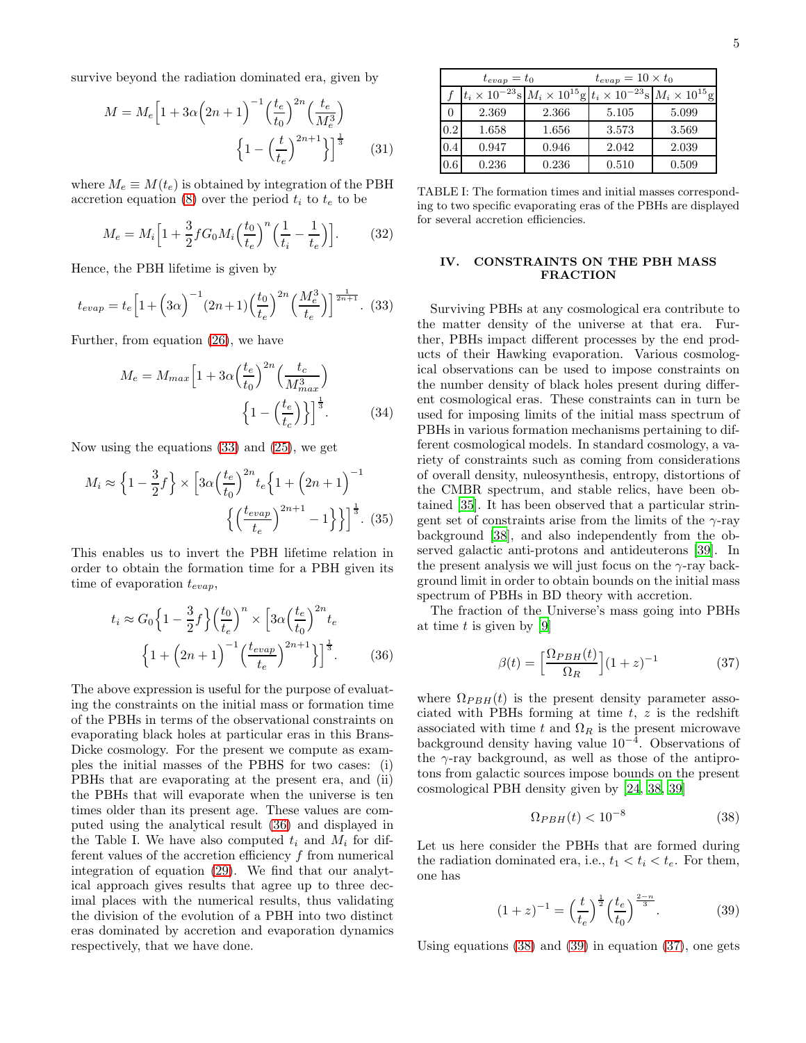survive beyond the radiation dominated era, given by

$$
M = M_e \left[ 1 + 3\alpha \left( 2n + 1 \right)^{-1} \left( \frac{t_e}{t_0} \right)^{2n} \left( \frac{t_e}{M_e^3} \right) + \left( 1 - \left( \frac{t}{t_e} \right)^{2n+1} \right) \right]^{\frac{1}{3}}
$$
(31)

where  $M_e \equiv M(t_e)$  is obtained by integration of the PBH accretion equation [\(8\)](#page-1-3) over the period  $t_i$  to  $t_e$  to be

$$
M_e = M_i \Big[ 1 + \frac{3}{2} f G_0 M_i \Big(\frac{t_0}{t_e}\Big)^n \Big(\frac{1}{t_i} - \frac{1}{t_e}\Big) \Big].
$$
 (32)

Hence, the PBH lifetime is given by

<span id="page-4-0"></span>
$$
t_{evap} = t_e \left[ 1 + \left( 3\alpha \right)^{-1} (2n+1) \left( \frac{t_0}{t_e} \right)^{2n} \left( \frac{M_e^3}{t_e} \right) \right]^{\frac{1}{2n+1}}. (33)
$$

Further, from equation [\(26\)](#page-3-2), we have

$$
M_e = M_{max} \left[ 1 + 3\alpha \left( \frac{t_e}{t_0} \right)^{2n} \left( \frac{t_c}{M_{max}^3} \right) \right]
$$

$$
\left\{ 1 - \left( \frac{t_e}{t_c} \right) \right\}^{\frac{1}{3}}.
$$
(34)

Now using the equations [\(33\)](#page-4-0) and [\(25\)](#page-3-3), we get

<span id="page-4-5"></span>
$$
M_i \approx \left\{ 1 - \frac{3}{2} f \right\} \times \left[ 3\alpha \left( \frac{t_e}{t_0} \right)^{2n} t_e \left\{ 1 + \left( 2n + 1 \right)^{-1} \right\} \right] \left\{ \left( \frac{t_{evap}}{t_e} \right)^{2n+1} - 1 \right\} \right\}^{\frac{1}{3}}.
$$
 (35)

This enables us to invert the PBH lifetime relation in order to obtain the formation time for a PBH given its time of evaporation  $t_{evap}$ ,

<span id="page-4-1"></span>
$$
t_i \approx G_0 \left\{ 1 - \frac{3}{2} f \right\} \left( \frac{t_0}{t_e} \right)^n \times \left[ 3\alpha \left( \frac{t_e}{t_0} \right)^{2n} t_e \right]
$$

$$
\left\{ 1 + \left( 2n + 1 \right)^{-1} \left( \frac{t_{evap}}{t_e} \right)^{2n+1} \right\} \right]^{\frac{1}{3}}.
$$
(36)

The above expression is useful for the purpose of evaluating the constraints on the initial mass or formation time of the PBHs in terms of the observational constraints on evaporating black holes at particular eras in this Brans-Dicke cosmology. For the present we compute as examples the initial masses of the PBHS for two cases: (i) PBHs that are evaporating at the present era, and (ii) the PBHs that will evaporate when the universe is ten times older than its present age. These values are computed using the analytical result [\(36\)](#page-4-1) and displayed in the Table I. We have also computed  $t_i$  and  $M_i$  for different values of the accretion efficiency  $f$  from numerical integration of equation [\(29\)](#page-3-0). We find that our analytical approach gives results that agree up to three decimal places with the numerical results, thus validating the division of the evolution of a PBH into two distinct eras dominated by accretion and evaporation dynamics respectively, that we have done.

| $t_{evap} = t_0$ |       |                                                                                                   | $t_{evap} = 10 \times t_0$ |       |
|------------------|-------|---------------------------------------------------------------------------------------------------|----------------------------|-------|
|                  |       | $ t_i \times 10^{-23}$ s $ M_i \times 10^{15}$ g $ t_i \times 10^{-23}$ s $ M_i \times 10^{15}$ g |                            |       |
|                  | 2.369 | 2.366                                                                                             | 5.105                      | 5.099 |
| 0.2              | 1.658 | 1.656                                                                                             | 3.573                      | 3.569 |
| 0.4              | 0.947 | 0.946                                                                                             | 2.042                      | 2.039 |
| 0.6              | 0.236 | 0.236                                                                                             | 0.510                      | 0.509 |

TABLE I: The formation times and initial masses corresponding to two specific evaporating eras of the PBHs are displayed for several accretion efficiencies.

## IV. CONSTRAINTS ON THE PBH MASS FRACTION

Surviving PBHs at any cosmological era contribute to the matter density of the universe at that era. Further, PBHs impact different processes by the end products of their Hawking evaporation. Various cosmological observations can be used to impose constraints on the number density of black holes present during different cosmological eras. These constraints can in turn be used for imposing limits of the initial mass spectrum of PBHs in various formation mechanisms pertaining to different cosmological models. In standard cosmology, a variety of constraints such as coming from considerations of overall density, nuleosynthesis, entropy, distortions of the CMBR spectrum, and stable relics, have been obtained [\[35](#page-6-34)]. It has been observed that a particular stringent set of constraints arise from the limits of the  $\gamma$ -ray background [\[38](#page-6-37)], and also independently from the observed galactic anti-protons and antideuterons [\[39\]](#page-6-38). In the present analysis we will just focus on the  $\gamma$ -ray background limit in order to obtain bounds on the initial mass spectrum of PBHs in BD theory with accretion.

The fraction of the Universe's mass going into PBHs at time  $t$  is given by [\[9\]](#page-6-8)

<span id="page-4-4"></span>
$$
\beta(t) = \left[\frac{\Omega_{PBH}(t)}{\Omega_R}\right](1+z)^{-1} \tag{37}
$$

where  $\Omega_{PBH}(t)$  is the present density parameter associated with PBHs forming at time  $t, z$  is the redshift associated with time t and  $\Omega_R$  is the present microwave background density having value 10−<sup>4</sup> . Observations of the  $\gamma$ -ray background, as well as those of the antiprotons from galactic sources impose bounds on the present cosmological PBH density given by [\[24](#page-6-23), [38](#page-6-37), [39](#page-6-38)]

<span id="page-4-2"></span>
$$
\Omega_{PBH}(t) < 10^{-8} \tag{38}
$$

Let us here consider the PBHs that are formed during the radiation dominated era, i.e.,  $t_1 < t_i < t_e$ . For them, one has

<span id="page-4-3"></span>
$$
(1+z)^{-1} = \left(\frac{t}{t_e}\right)^{\frac{1}{2}} \left(\frac{t_e}{t_0}\right)^{\frac{2-n}{3}}.
$$
 (39)

Using equations [\(38\)](#page-4-2) and [\(39\)](#page-4-3) in equation [\(37\)](#page-4-4), one gets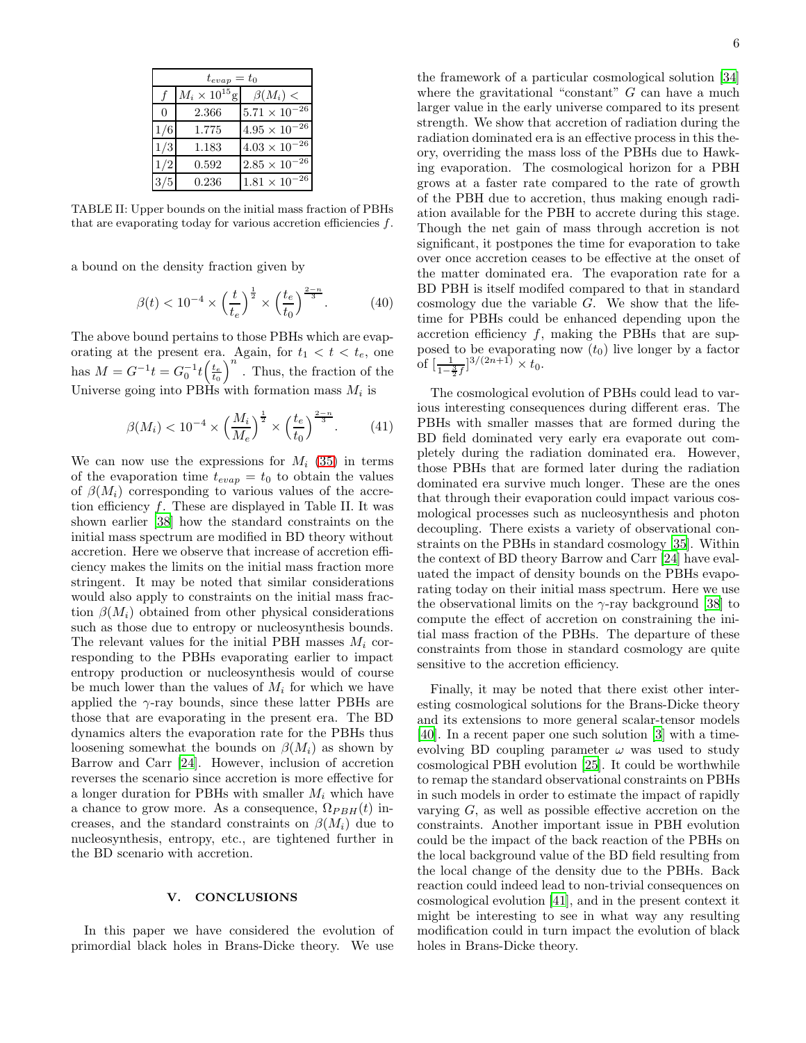| $t_{evap} = t_0$ |                        |                        |  |  |
|------------------|------------------------|------------------------|--|--|
|                  | $M_i \times 10^{15}$ g | $\beta(M_i)$ <         |  |  |
| $\Omega$         | 2.366                  | $5.71 \times 10^{-26}$ |  |  |
| 1/6              | 1.775                  | $4.95\times10^{-26}$   |  |  |
| 1/3              | 1.183                  | $4.03\times10^{-26}$   |  |  |
| 1/2              | 0.592                  | $2.85 \times 10^{-26}$ |  |  |
|                  | 0.236                  | $1.81 \times 10^{-26}$ |  |  |

TABLE II: Upper bounds on the initial mass fraction of PBHs that are evaporating today for various accretion efficiencies  $f$ .

a bound on the density fraction given by

$$
\beta(t) < 10^{-4} \times \left(\frac{t}{t_e}\right)^{\frac{1}{2}} \times \left(\frac{t_e}{t_0}\right)^{\frac{2-n}{3}}.\tag{40}
$$

The above bound pertains to those PBHs which are evaporating at the present era. Again, for  $t_1 < t < t_e$ , one has  $M = G^{-1}t = G_0^{-1}t\left(\frac{t_e}{t_0}\right)^n$ . Thus, the fraction of the Universe going into PBHs with formation mass  $M_i$  is

$$
\beta(M_i) < 10^{-4} \times \left(\frac{M_i}{M_e}\right)^{\frac{1}{2}} \times \left(\frac{t_e}{t_0}\right)^{\frac{2-n}{3}}.\tag{41}
$$

We can now use the expressions for  $M_i$  [\(35\)](#page-4-5) in terms of the evaporation time  $t_{evap} = t_0$  to obtain the values of  $\beta(M_i)$  corresponding to various values of the accretion efficiency  $f$ . These are displayed in Table II. It was shown earlier [\[38](#page-6-37)] how the standard constraints on the initial mass spectrum are modified in BD theory without accretion. Here we observe that increase of accretion efficiency makes the limits on the initial mass fraction more stringent. It may be noted that similar considerations would also apply to constraints on the initial mass fraction  $\beta(M_i)$  obtained from other physical considerations such as those due to entropy or nucleosynthesis bounds. The relevant values for the initial PBH masses  $M_i$  corresponding to the PBHs evaporating earlier to impact entropy production or nucleosynthesis would of course be much lower than the values of  $M_i$  for which we have applied the  $\gamma$ -ray bounds, since these latter PBHs are those that are evaporating in the present era. The BD dynamics alters the evaporation rate for the PBHs thus loosening somewhat the bounds on  $\beta(M_i)$  as shown by Barrow and Carr [\[24\]](#page-6-23). However, inclusion of accretion reverses the scenario since accretion is more effective for a longer duration for PBHs with smaller  $M_i$  which have a chance to grow more. As a consequence,  $\Omega_{PBH}(t)$  increases, and the standard constraints on  $\beta(M_i)$  due to nucleosynthesis, entropy, etc., are tightened further in the BD scenario with accretion.

#### V. CONCLUSIONS

In this paper we have considered the evolution of primordial black holes in Brans-Dicke theory. We use

the framework of a particular cosmological solution [\[34](#page-6-33)] where the gravitational "constant"  $G$  can have a much larger value in the early universe compared to its present strength. We show that accretion of radiation during the radiation dominated era is an effective process in this theory, overriding the mass loss of the PBHs due to Hawking evaporation. The cosmological horizon for a PBH grows at a faster rate compared to the rate of growth of the PBH due to accretion, thus making enough radiation available for the PBH to accrete during this stage. Though the net gain of mass through accretion is not significant, it postpones the time for evaporation to take over once accretion ceases to be effective at the onset of the matter dominated era. The evaporation rate for a BD PBH is itself modifed compared to that in standard cosmology due the variable  $G$ . We show that the lifetime for PBHs could be enhanced depending upon the accretion efficiency  $f$ , making the PBHs that are supposed to be evaporating now  $(t_0)$  live longer by a factor of  $\left[\frac{1}{1-\frac{3}{2}f}\right]^{3/(2n+1)} \times t_0$ .

The cosmological evolution of PBHs could lead to various interesting consequences during different eras. The PBHs with smaller masses that are formed during the BD field dominated very early era evaporate out completely during the radiation dominated era. However, those PBHs that are formed later during the radiation dominated era survive much longer. These are the ones that through their evaporation could impact various cosmological processes such as nucleosynthesis and photon decoupling. There exists a variety of observational constraints on the PBHs in standard cosmology [\[35\]](#page-6-34). Within the context of BD theory Barrow and Carr [\[24\]](#page-6-23) have evaluated the impact of density bounds on the PBHs evaporating today on their initial mass spectrum. Here we use the observational limits on the  $\gamma$ -ray background [\[38](#page-6-37)] to compute the effect of accretion on constraining the initial mass fraction of the PBHs. The departure of these constraints from those in standard cosmology are quite sensitive to the accretion efficiency.

Finally, it may be noted that there exist other interesting cosmological solutions for the Brans-Dicke theory and its extensions to more general scalar-tensor models [\[40\]](#page-6-39). In a recent paper one such solution [\[3\]](#page-6-2) with a timeevolving BD coupling parameter  $\omega$  was used to study cosmological PBH evolution [\[25\]](#page-6-24). It could be worthwhile to remap the standard observational constraints on PBHs in such models in order to estimate the impact of rapidly varying  $G$ , as well as possible effective accretion on the constraints. Another important issue in PBH evolution could be the impact of the back reaction of the PBHs on the local background value of the BD field resulting from the local change of the density due to the PBHs. Back reaction could indeed lead to non-trivial consequences on cosmological evolution [\[41\]](#page-6-40), and in the present context it might be interesting to see in what way any resulting modification could in turn impact the evolution of black holes in Brans-Dicke theory.